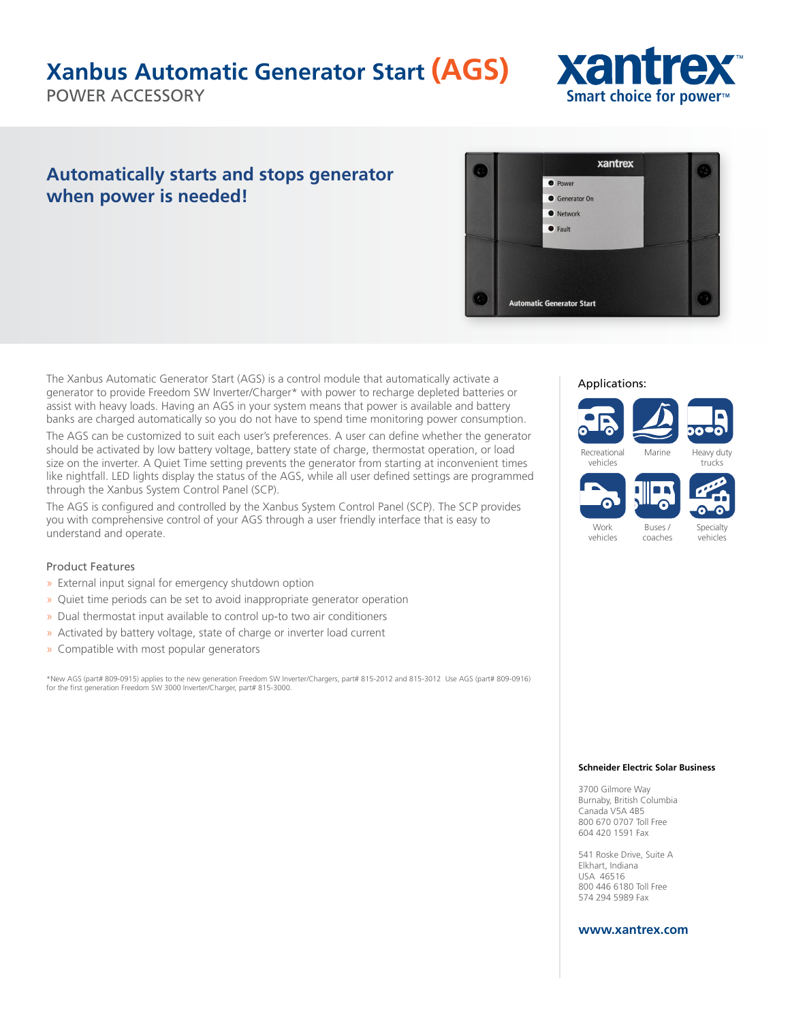### **Xanbus Automatic Generator Start (AGS)**

POWER ACCESSORY

## xantrex **Smart choice for power™**

### **Automatically starts and stops generator when power is needed!**



The Xanbus Automatic Generator Start (AGS) is a control module that automatically activate a generator to provide Freedom SW Inverter/Charger\* with power to recharge depleted batteries or assist with heavy loads. Having an AGS in your system means that power is available and battery banks are charged automatically so you do not have to spend time monitoring power consumption.

The AGS can be customized to suit each user's preferences. A user can define whether the generator should be activated by low battery voltage, battery state of charge, thermostat operation, or load size on the inverter. A Quiet Time setting prevents the generator from starting at inconvenient times like nightfall. LED lights display the status of the AGS, while all user defined settings are programmed through the Xanbus System Control Panel (SCP).

The AGS is configured and controlled by the Xanbus System Control Panel (SCP). The SCP provides you with comprehensive control of your AGS through a user friendly interface that is easy to understand and operate.

#### Product Features

- » External input signal for emergency shutdown option
- » Quiet time periods can be set to avoid inappropriate generator operation
- » Dual thermostat input available to control up-to two air conditioners
- » Activated by battery voltage, state of charge or inverter load current
- » Compatible with most popular generators

\*New AGS (part# 809-0915) applies to the new generation Freedom SW Inverter/Chargers, part# 815-2012 and 815-3012 Use AGS (part# 809-0916) for the first generation Freedom SW 3000 Inverter/Charger, part# 815-3000.

#### Applications:



#### **Schneider Electric Solar Business**

3700 Gilmore Way Burnaby, British Columbia Canada V5A 4B5 800 670 0707 Toll Free 604 420 1591 Fax

541 Roske Drive, Suite A Elkhart, Indiana USA 46516 800 446 6180 Toll Free 574 294 5989 Fax

#### **www.xantrex.com**